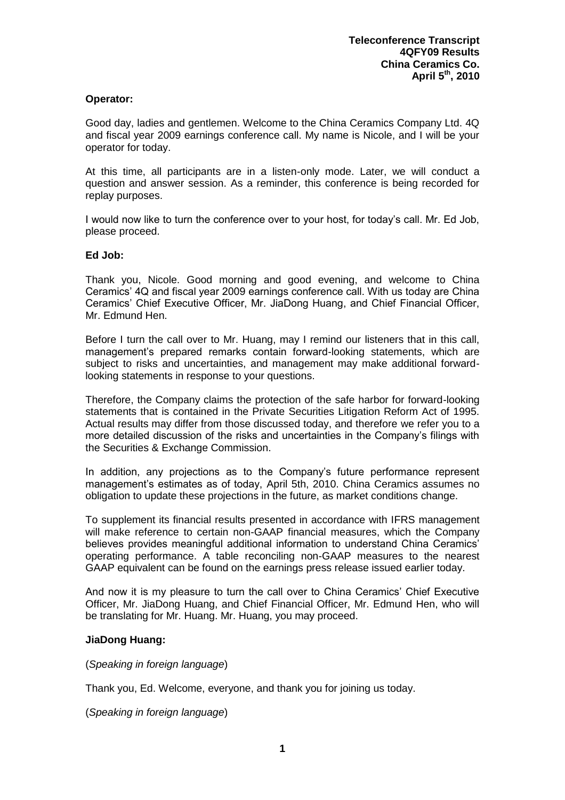## **Operator:**

Good day, ladies and gentlemen. Welcome to the China Ceramics Company Ltd. 4Q and fiscal year 2009 earnings conference call. My name is Nicole, and I will be your operator for today.

At this time, all participants are in a listen-only mode. Later, we will conduct a question and answer session. As a reminder, this conference is being recorded for replay purposes.

I would now like to turn the conference over to your host, for today's call. Mr. Ed Job, please proceed.

## **Ed Job:**

Thank you, Nicole. Good morning and good evening, and welcome to China Ceramics' 4Q and fiscal year 2009 earnings conference call. With us today are China Ceramics' Chief Executive Officer, Mr. JiaDong Huang, and Chief Financial Officer, Mr. Edmund Hen.

Before I turn the call over to Mr. Huang, may I remind our listeners that in this call, management's prepared remarks contain forward-looking statements, which are subject to risks and uncertainties, and management may make additional forwardlooking statements in response to your questions.

Therefore, the Company claims the protection of the safe harbor for forward-looking statements that is contained in the Private Securities Litigation Reform Act of 1995. Actual results may differ from those discussed today, and therefore we refer you to a more detailed discussion of the risks and uncertainties in the Company's filings with the Securities & Exchange Commission.

In addition, any projections as to the Company's future performance represent management's estimates as of today, April 5th, 2010. China Ceramics assumes no obligation to update these projections in the future, as market conditions change.

To supplement its financial results presented in accordance with IFRS management will make reference to certain non-GAAP financial measures, which the Company believes provides meaningful additional information to understand China Ceramics' operating performance. A table reconciling non-GAAP measures to the nearest GAAP equivalent can be found on the earnings press release issued earlier today.

And now it is my pleasure to turn the call over to China Ceramics' Chief Executive Officer, Mr. JiaDong Huang, and Chief Financial Officer, Mr. Edmund Hen, who will be translating for Mr. Huang. Mr. Huang, you may proceed.

### **JiaDong Huang:**

(*Speaking in foreign language*)

Thank you, Ed. Welcome, everyone, and thank you for joining us today.

(*Speaking in foreign language*)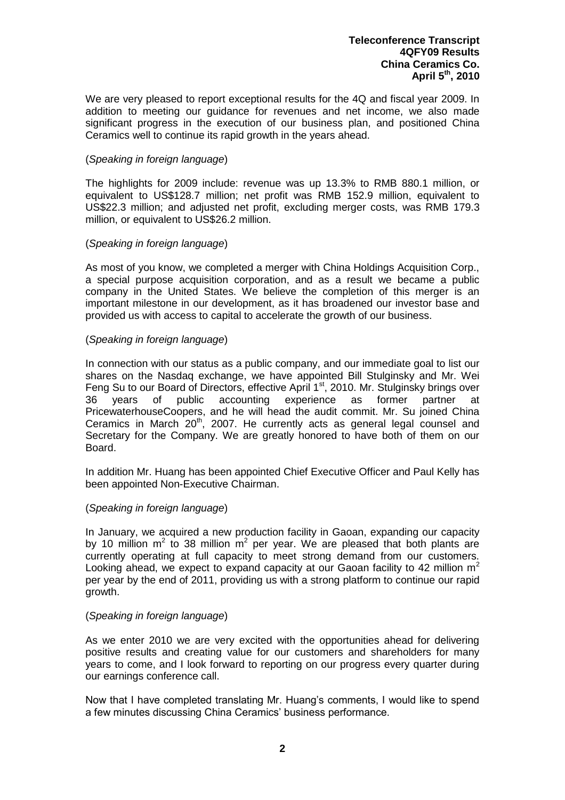We are very pleased to report exceptional results for the 4Q and fiscal year 2009. In addition to meeting our guidance for revenues and net income, we also made significant progress in the execution of our business plan, and positioned China Ceramics well to continue its rapid growth in the years ahead.

## (*Speaking in foreign language*)

The highlights for 2009 include: revenue was up 13.3% to RMB 880.1 million, or equivalent to US\$128.7 million; net profit was RMB 152.9 million, equivalent to US\$22.3 million; and adjusted net profit, excluding merger costs, was RMB 179.3 million, or equivalent to US\$26.2 million.

## (*Speaking in foreign language*)

As most of you know, we completed a merger with China Holdings Acquisition Corp., a special purpose acquisition corporation, and as a result we became a public company in the United States. We believe the completion of this merger is an important milestone in our development, as it has broadened our investor base and provided us with access to capital to accelerate the growth of our business.

## (*Speaking in foreign language*)

In connection with our status as a public company, and our immediate goal to list our shares on the Nasdaq exchange, we have appointed Bill Stulginsky and Mr. Wei Feng Su to our Board of Directors, effective April 1<sup>st</sup>, 2010. Mr. Stulginsky brings over 36 years of public accounting experience as former partner at PricewaterhouseCoopers, and he will head the audit commit. Mr. Su joined China Ceramics in March 20<sup>th</sup>, 2007. He currently acts as general legal counsel and Secretary for the Company. We are greatly honored to have both of them on our Board.

In addition Mr. Huang has been appointed Chief Executive Officer and Paul Kelly has been appointed Non-Executive Chairman.

### (*Speaking in foreign language*)

In January, we acquired a new production facility in Gaoan, expanding our capacity by 10 million  $m^2$  to 38 million  $m^2$  per year. We are pleased that both plants are currently operating at full capacity to meet strong demand from our customers. Looking ahead, we expect to expand capacity at our Gaoan facility to 42 million  $m^2$ per year by the end of 2011, providing us with a strong platform to continue our rapid growth.

### (*Speaking in foreign language*)

As we enter 2010 we are very excited with the opportunities ahead for delivering positive results and creating value for our customers and shareholders for many years to come, and I look forward to reporting on our progress every quarter during our earnings conference call.

Now that I have completed translating Mr. Huang's comments, I would like to spend a few minutes discussing China Ceramics' business performance.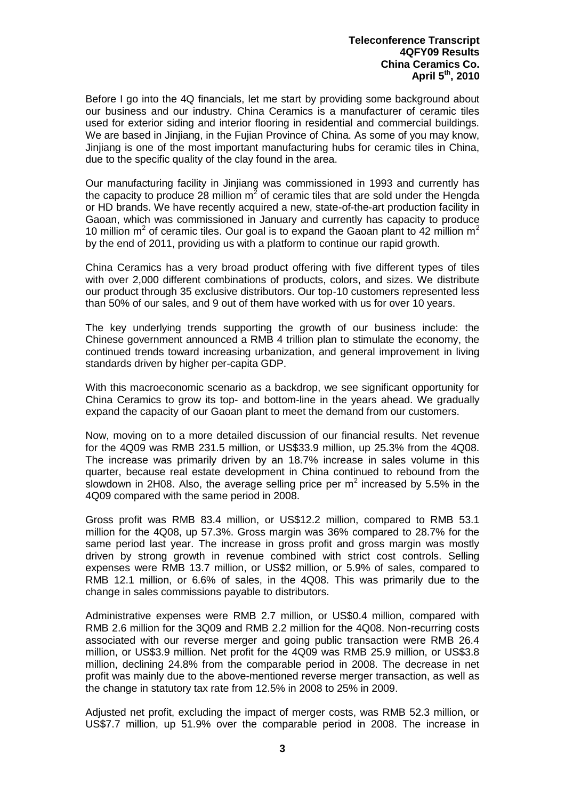Before I go into the 4Q financials, let me start by providing some background about our business and our industry. China Ceramics is a manufacturer of ceramic tiles used for exterior siding and interior flooring in residential and commercial buildings. We are based in Jinjiang, in the Fujian Province of China. As some of you may know, Jinjiang is one of the most important manufacturing hubs for ceramic tiles in China, due to the specific quality of the clay found in the area.

Our manufacturing facility in Jinjiang was commissioned in 1993 and currently has the capacity to produce 28 million  $m^2$  of ceramic tiles that are sold under the Hengda or HD brands. We have recently acquired a new, state-of-the-art production facility in Gaoan, which was commissioned in January and currently has capacity to produce 10 million  $m^2$  of ceramic tiles. Our goal is to expand the Gaoan plant to 42 million  $m^2$ by the end of 2011, providing us with a platform to continue our rapid growth.

China Ceramics has a very broad product offering with five different types of tiles with over 2,000 different combinations of products, colors, and sizes. We distribute our product through 35 exclusive distributors. Our top-10 customers represented less than 50% of our sales, and 9 out of them have worked with us for over 10 years.

The key underlying trends supporting the growth of our business include: the Chinese government announced a RMB 4 trillion plan to stimulate the economy, the continued trends toward increasing urbanization, and general improvement in living standards driven by higher per-capita GDP.

With this macroeconomic scenario as a backdrop, we see significant opportunity for China Ceramics to grow its top- and bottom-line in the years ahead. We gradually expand the capacity of our Gaoan plant to meet the demand from our customers.

Now, moving on to a more detailed discussion of our financial results. Net revenue for the 4Q09 was RMB 231.5 million, or US\$33.9 million, up 25.3% from the 4Q08. The increase was primarily driven by an 18.7% increase in sales volume in this quarter, because real estate development in China continued to rebound from the slowdown in 2H08. Also, the average selling price per  $m^2$  increased by 5.5% in the 4Q09 compared with the same period in 2008.

Gross profit was RMB 83.4 million, or US\$12.2 million, compared to RMB 53.1 million for the 4Q08, up 57.3%. Gross margin was 36% compared to 28.7% for the same period last year. The increase in gross profit and gross margin was mostly driven by strong growth in revenue combined with strict cost controls. Selling expenses were RMB 13.7 million, or US\$2 million, or 5.9% of sales, compared to RMB 12.1 million, or 6.6% of sales, in the 4Q08. This was primarily due to the change in sales commissions payable to distributors.

Administrative expenses were RMB 2.7 million, or US\$0.4 million, compared with RMB 2.6 million for the 3Q09 and RMB 2.2 million for the 4Q08. Non-recurring costs associated with our reverse merger and going public transaction were RMB 26.4 million, or US\$3.9 million. Net profit for the 4Q09 was RMB 25.9 million, or US\$3.8 million, declining 24.8% from the comparable period in 2008. The decrease in net profit was mainly due to the above-mentioned reverse merger transaction, as well as the change in statutory tax rate from 12.5% in 2008 to 25% in 2009.

Adjusted net profit, excluding the impact of merger costs, was RMB 52.3 million, or US\$7.7 million, up 51.9% over the comparable period in 2008. The increase in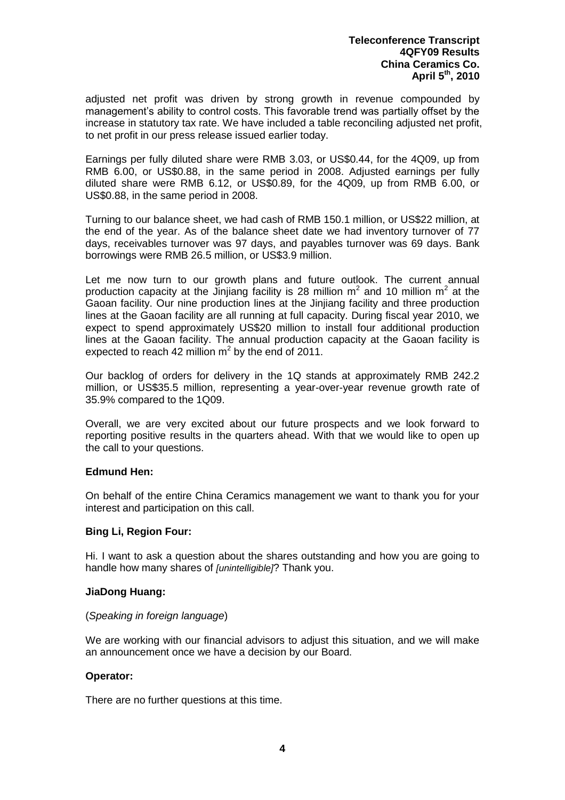adjusted net profit was driven by strong growth in revenue compounded by management's ability to control costs. This favorable trend was partially offset by the increase in statutory tax rate. We have included a table reconciling adjusted net profit, to net profit in our press release issued earlier today.

Earnings per fully diluted share were RMB 3.03, or US\$0.44, for the 4Q09, up from RMB 6.00, or US\$0.88, in the same period in 2008. Adjusted earnings per fully diluted share were RMB 6.12, or US\$0.89, for the 4Q09, up from RMB 6.00, or US\$0.88, in the same period in 2008.

Turning to our balance sheet, we had cash of RMB 150.1 million, or US\$22 million, at the end of the year. As of the balance sheet date we had inventory turnover of 77 days, receivables turnover was 97 days, and payables turnover was 69 days. Bank borrowings were RMB 26.5 million, or US\$3.9 million.

Let me now turn to our growth plans and future outlook. The current annual production capacity at the Jinjiang facility is 28 million  $m^2$  and 10 million  $m^2$  at the Gaoan facility. Our nine production lines at the Jinjiang facility and three production lines at the Gaoan facility are all running at full capacity. During fiscal year 2010, we expect to spend approximately US\$20 million to install four additional production lines at the Gaoan facility. The annual production capacity at the Gaoan facility is expected to reach 42 million  $m^2$  by the end of 2011.

Our backlog of orders for delivery in the 1Q stands at approximately RMB 242.2 million, or US\$35.5 million, representing a year-over-year revenue growth rate of 35.9% compared to the 1Q09.

Overall, we are very excited about our future prospects and we look forward to reporting positive results in the quarters ahead. With that we would like to open up the call to your questions.

# **Edmund Hen:**

On behalf of the entire China Ceramics management we want to thank you for your interest and participation on this call.

### **Bing Li, Region Four:**

Hi. I want to ask a question about the shares outstanding and how you are going to handle how many shares of *[unintelligible]*? Thank you.

### **JiaDong Huang:**

### (*Speaking in foreign language*)

We are working with our financial advisors to adjust this situation, and we will make an announcement once we have a decision by our Board.

### **Operator:**

There are no further questions at this time.